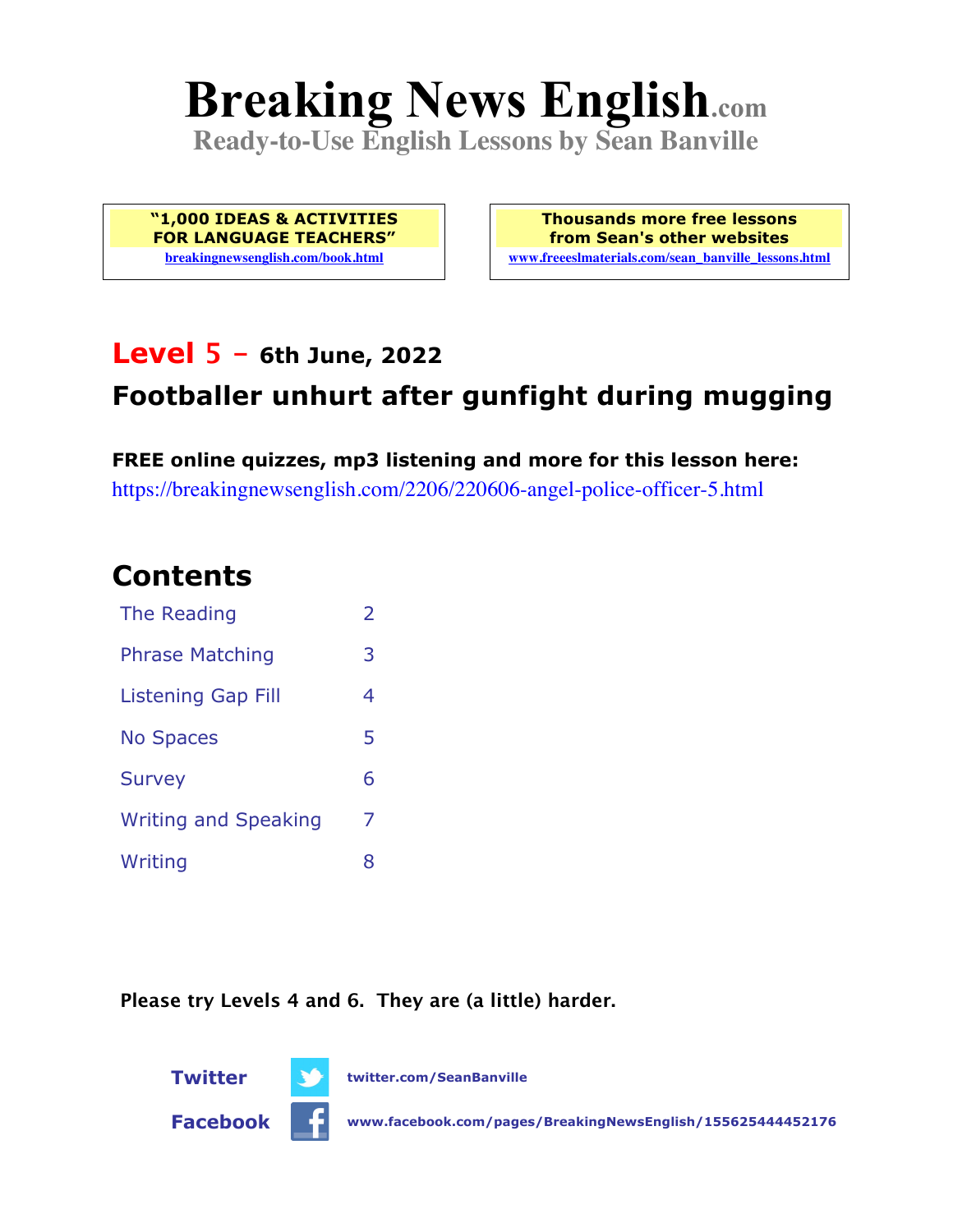# **Breaking News English.com**

**Ready-to-Use English Lessons by Sean Banville**

**"1,000 IDEAS & ACTIVITIES FOR LANGUAGE TEACHERS" breakingnewsenglish.com/book.html**

**Thousands more free lessons from Sean's other websites www.freeeslmaterials.com/sean\_banville\_lessons.html**

### **Level 5 - 6th June, 2022**

### **Footballer unhurt after gunfight during mugging**

**FREE online quizzes, mp3 listening and more for this lesson here:** https://breakingnewsenglish.com/2206/220606-angel-police-officer-5.html

### **Contents**

| The Reading                 | $\overline{2}$ |
|-----------------------------|----------------|
| <b>Phrase Matching</b>      | 3              |
| <b>Listening Gap Fill</b>   | 4              |
| <b>No Spaces</b>            | 5              |
| <b>Survey</b>               | 6              |
| <b>Writing and Speaking</b> | 7              |
| Writing                     | 8              |

**Please try Levels 4 and 6. They are (a little) harder.**



**Facebook www.facebook.com/pages/BreakingNewsEnglish/155625444452176**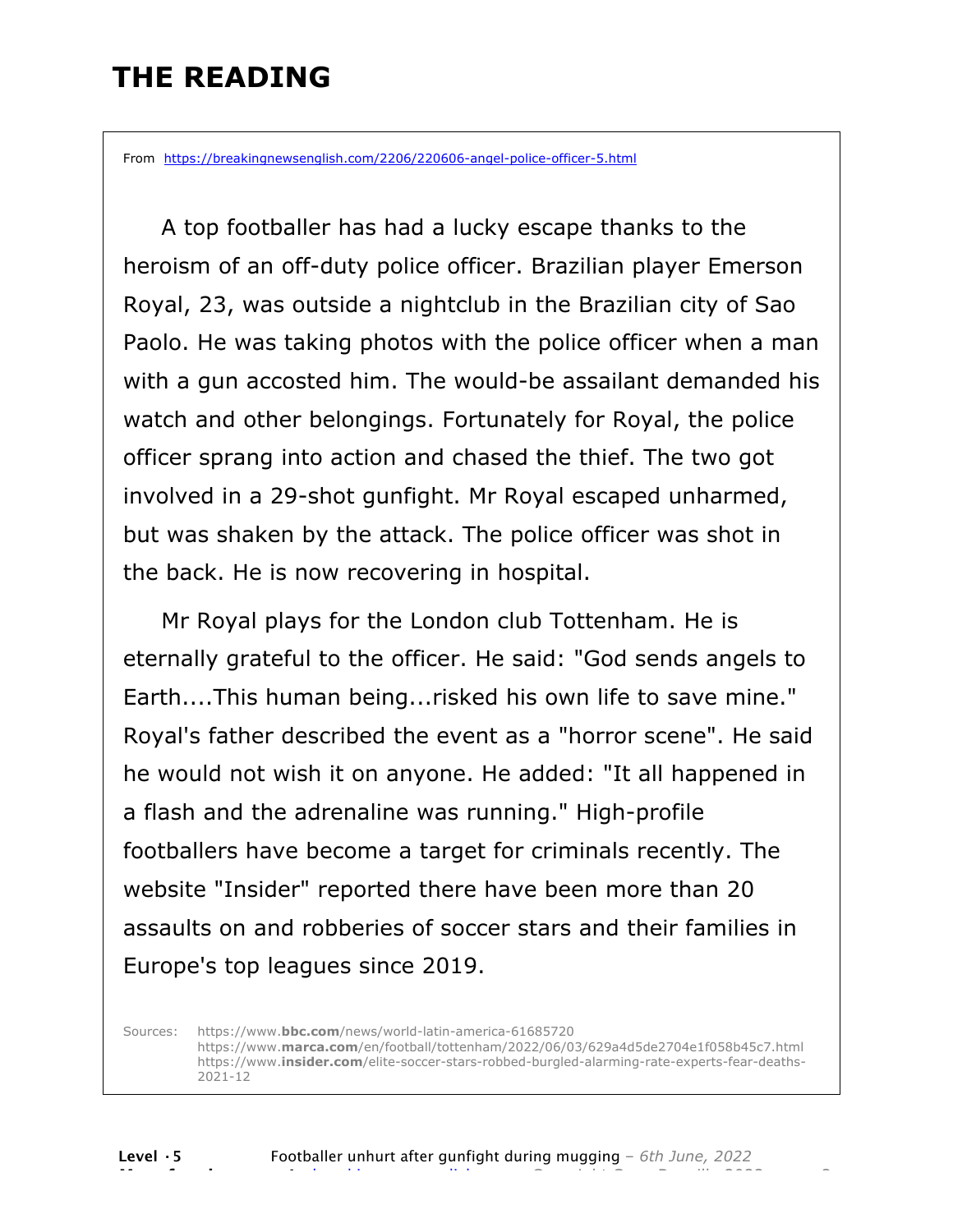### **THE READING**

From https://breakingnewsenglish.com/2206/220606-angel-police-officer-5.html

 A top footballer has had a lucky escape thanks to the heroism of an off-duty police officer. Brazilian player Emerson Royal, 23, was outside a nightclub in the Brazilian city of Sao Paolo. He was taking photos with the police officer when a man with a gun accosted him. The would-be assailant demanded his watch and other belongings. Fortunately for Royal, the police officer sprang into action and chased the thief. The two got involved in a 29-shot gunfight. Mr Royal escaped unharmed, but was shaken by the attack. The police officer was shot in the back. He is now recovering in hospital.

 Mr Royal plays for the London club Tottenham. He is eternally grateful to the officer. He said: "God sends angels to Earth....This human being...risked his own life to save mine." Royal's father described the event as a "horror scene". He said he would not wish it on anyone. He added: "It all happened in a flash and the adrenaline was running." High-profile footballers have become a target for criminals recently. The website "Insider" reported there have been more than 20 assaults on and robberies of soccer stars and their families in Europe's top leagues since 2019.

Sources: https://www.**bbc.com**/news/world-latin-america-61685720 https://www.**marca.com**/en/football/tottenham/2022/06/03/629a4d5de2704e1f058b45c7.html https://www.**insider.com**/elite-soccer-stars-robbed-burgled-alarming-rate-experts-fear-deaths-2021-12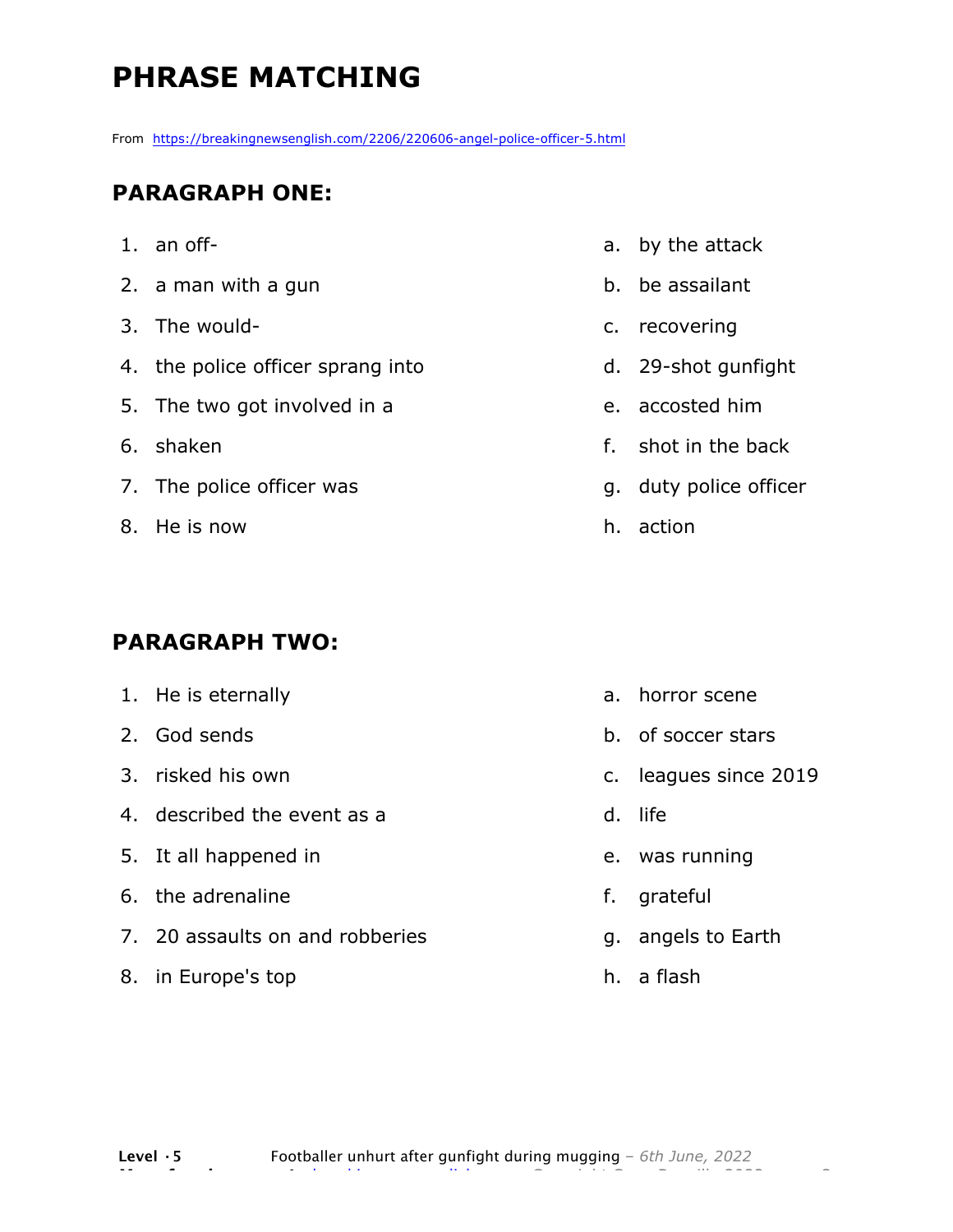# **PHRASE MATCHING**

From https://breakingnewsenglish.com/2206/220606-angel-police-officer-5.html

#### **PARAGRAPH ONE:**

- 1. an off-
- 2. a man with a gun
- 3. The would-
- 4. the police officer sprang into
- 5. The two got involved in a
- 6. shaken
- 7. The police officer was
- 8. He is now

#### **PARAGRAPH TWO:**

- 1. He is eternally 2. God sends 3. risked his own 4. described the event as a 5. It all happened in 6. the adrenaline 7. 20 assaults on and robberies a. horror scene b. of soccer stars c. leagues since 2019 d. life e. was running f. grateful g. angels to Earth
- 8. in Europe's top
- a. by the attack
- b. be assailant
- c. recovering
- d. 29-shot gunfight
- e. accosted him
- f. shot in the back
- g. duty police officer
- h. action

h. a flash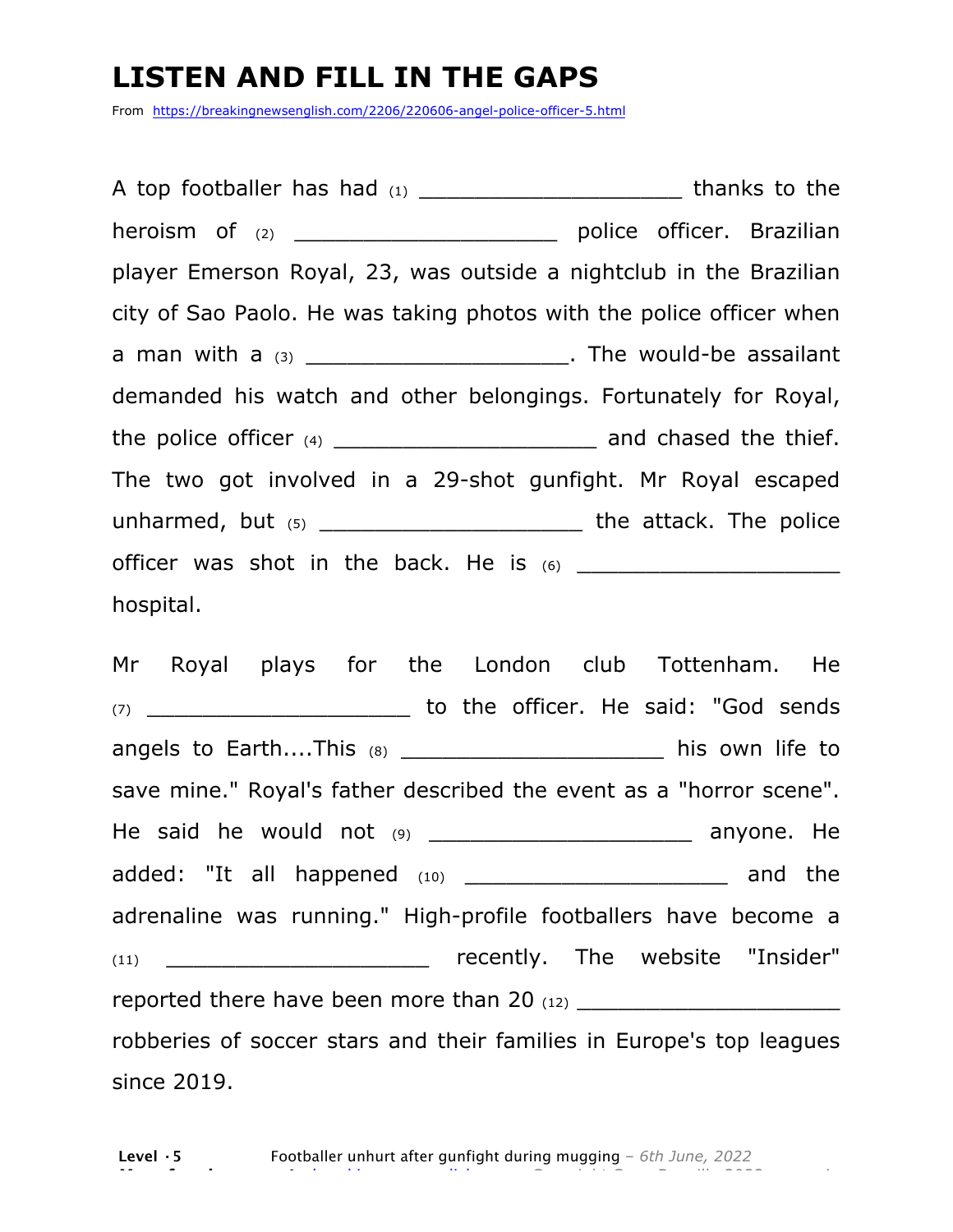### **LISTEN AND FILL IN THE GAPS**

From https://breakingnewsenglish.com/2206/220606-angel-police-officer-5.html

A top footballer has had  $(1)$  \_\_\_\_\_\_\_\_\_\_\_\_\_\_\_\_\_\_\_\_\_\_\_\_\_\_\_\_\_\_\_\_\_ thanks to the heroism of (2) \_\_\_\_\_\_\_\_\_\_\_\_\_\_\_\_\_\_\_\_\_\_\_\_\_\_\_\_\_\_\_\_ police officer. Brazilian player Emerson Royal, 23, was outside a nightclub in the Brazilian city of Sao Paolo. He was taking photos with the police officer when a man with a  $(3)$  a man with a  $(3)$ demanded his watch and other belongings. Fortunately for Royal, the police officer  $(4)$  \_\_\_\_\_\_\_\_\_\_\_\_\_\_\_\_\_\_\_\_\_\_\_\_\_\_\_\_\_\_\_\_ and chased the thief. The two got involved in a 29-shot gunfight. Mr Royal escaped unharmed, but  $(5)$  and  $(6)$  but  $(7)$  and  $(8)$  the attack. The police officer was shot in the back. He is  $(6)$ hospital.

Mr Royal plays for the London club Tottenham. He (7) \_\_\_\_\_\_\_\_\_\_\_\_\_\_\_\_\_\_\_ to the officer. He said: "God sends angels to Earth....This (8) \_\_\_\_\_\_\_\_\_\_\_\_\_\_\_\_\_\_\_\_\_\_\_\_\_\_\_ his own life to save mine." Royal's father described the event as a "horror scene". He said he would not  $(9)$  anyone. He added: "It all happened (10) \_\_\_\_\_\_\_\_\_\_\_\_\_\_\_\_\_\_\_\_\_ and the adrenaline was running." High-profile footballers have become a (11) \_\_\_\_\_\_\_\_\_\_\_\_\_\_\_\_\_\_\_ recently. The website "Insider" reported there have been more than 20  $_{(12)}$ robberies of soccer stars and their families in Europe's top leagues since 2019.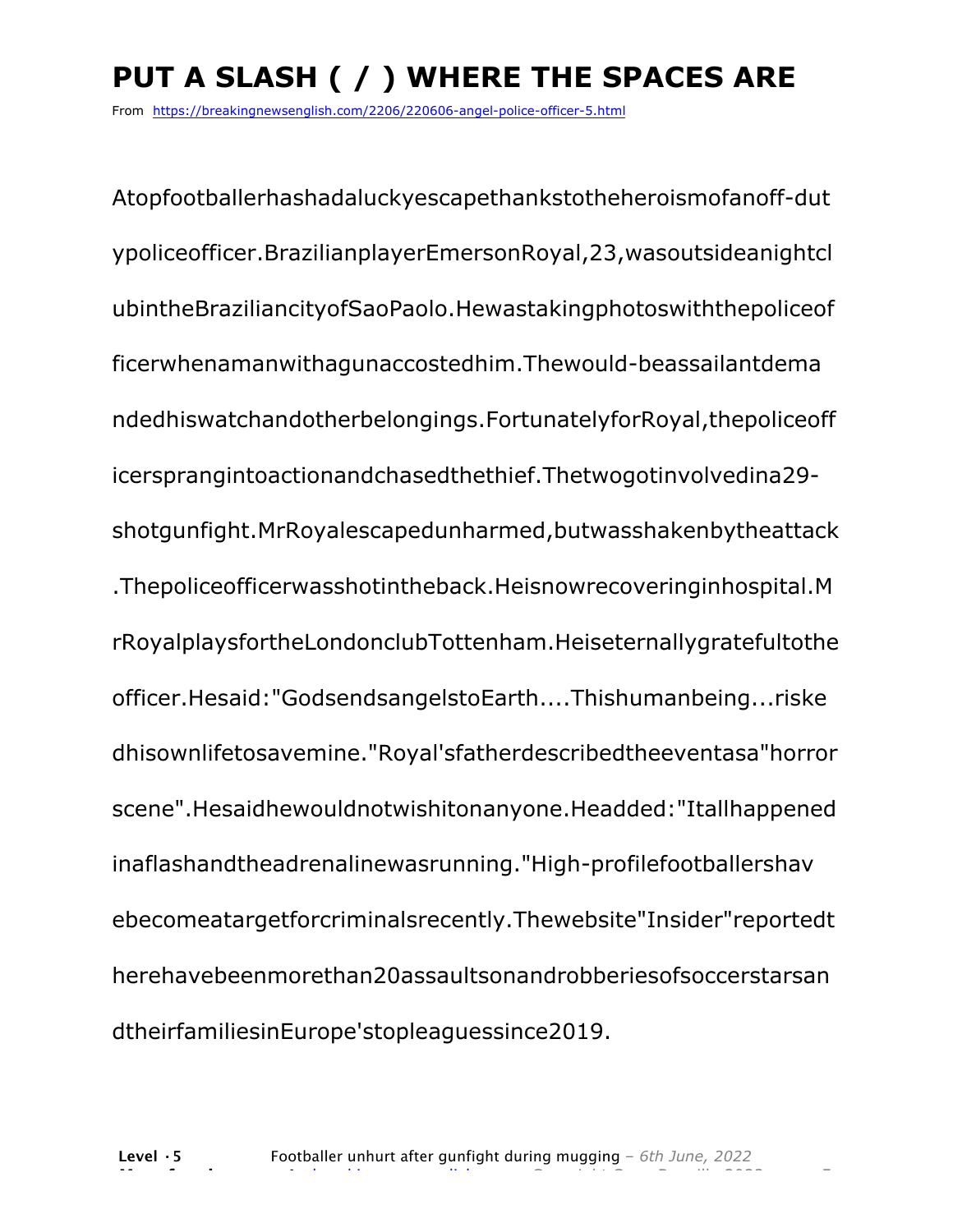# **PUT A SLASH ( / ) WHERE THE SPACES ARE**

From https://breakingnewsenglish.com/2206/220606-angel-police-officer-5.html

Atopfootballerhashadaluckyescapethankstotheheroismofanoff-dut ypoliceofficer.BrazilianplayerEmersonRoyal,23,wasoutsideanightcl ubintheBraziliancityofSaoPaolo.Hewastakingphotoswiththepoliceof ficerwhenamanwithagunaccostedhim.Thewould-beassailantdema ndedhiswatchandotherbelongings.FortunatelyforRoyal,thepoliceoff icersprangintoactionandchasedthethief.Thetwogotinvolvedina29 shotgunfight.MrRoyalescapedunharmed,butwasshakenbytheattack .Thepoliceofficerwasshotintheback.Heisnowrecoveringinhospital.M rRoyalplaysfortheLondonclubTottenham.Heiseternallygratefultothe officer.Hesaid:"GodsendsangelstoEarth....Thishumanbeing...riske dhisownlifetosavemine."Royal'sfatherdescribedtheeventasa"horror scene".Hesaidhewouldnotwishitonanyone.Headded:"Itallhappened inaflashandtheadrenalinewasrunning."High-profilefootballershav ebecomeatargetforcriminalsrecently.Thewebsite"Insider"reportedt herehavebeenmorethan20assaultsonandrobberiesofsoccerstarsan dtheirfamiliesinEurope'stopleaguessince2019.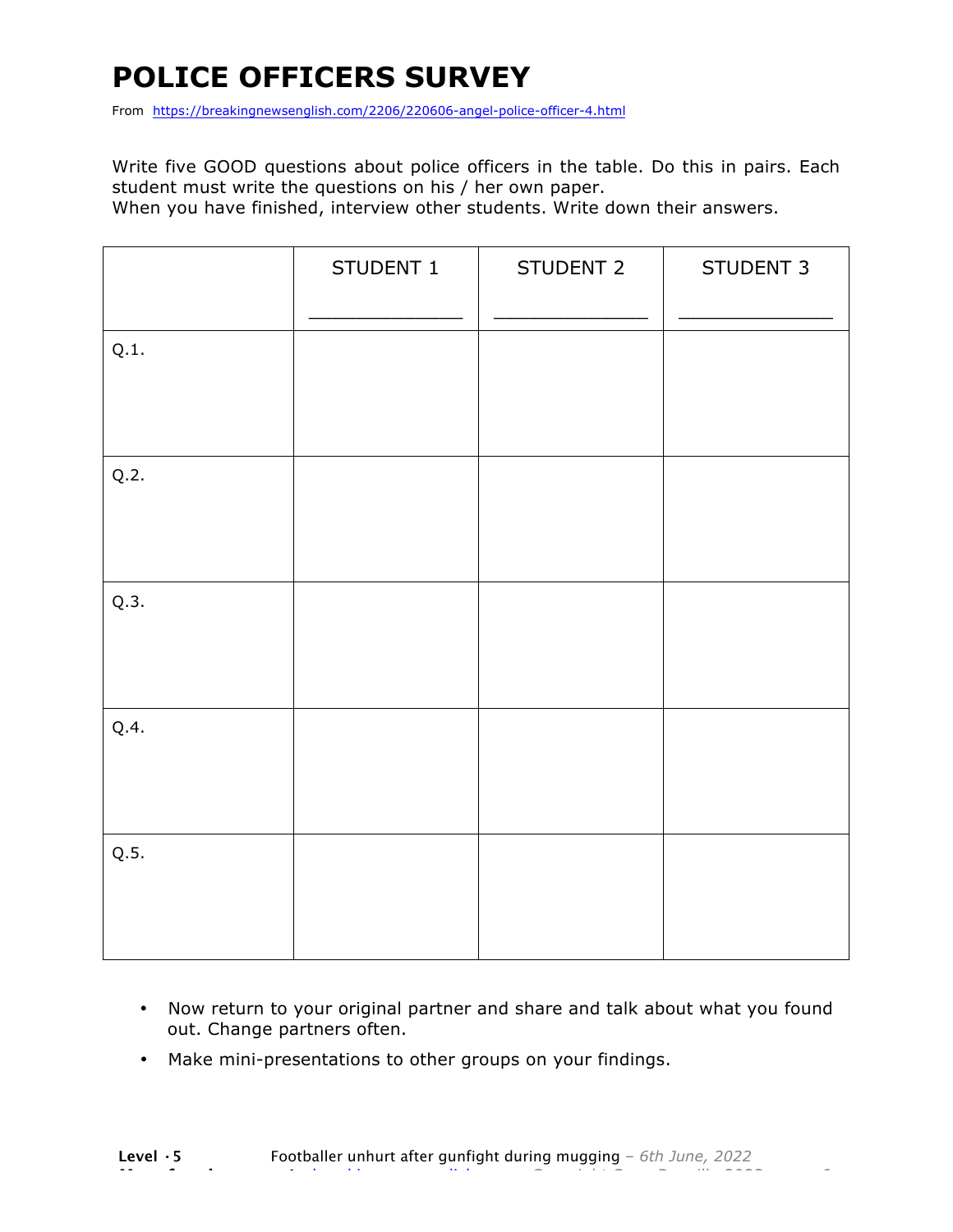# **POLICE OFFICERS SURVEY**

From https://breakingnewsenglish.com/2206/220606-angel-police-officer-4.html

Write five GOOD questions about police officers in the table. Do this in pairs. Each student must write the questions on his / her own paper.

When you have finished, interview other students. Write down their answers.

|      | STUDENT 1 | STUDENT 2 | STUDENT 3 |
|------|-----------|-----------|-----------|
| Q.1. |           |           |           |
| Q.2. |           |           |           |
| Q.3. |           |           |           |
| Q.4. |           |           |           |
| Q.5. |           |           |           |

- Now return to your original partner and share and talk about what you found out. Change partners often.
- Make mini-presentations to other groups on your findings.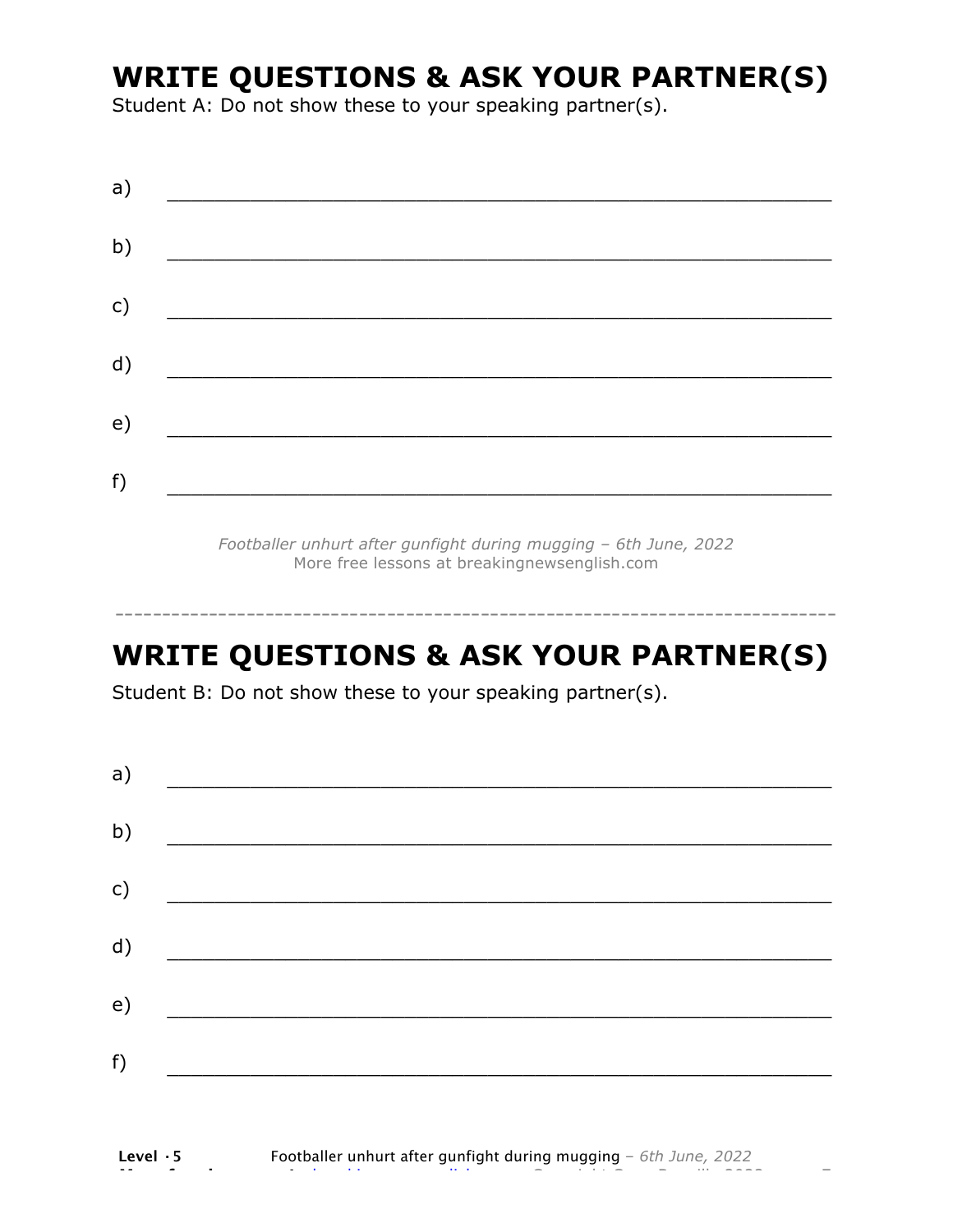### **WRITE QUESTIONS & ASK YOUR PARTNER(S)**

Student A: Do not show these to your speaking partner(s).

*Footballer unhurt after gunfight during mugging – 6th June, 2022* More free lessons at breakingnewsenglish.com

### **WRITE QUESTIONS & ASK YOUR PARTNER(S)**

-----------------------------------------------------------------------------

Student B: Do not show these to your speaking partner(s).

| a) |  |  |
|----|--|--|
| b) |  |  |
| c) |  |  |
| d) |  |  |
| e) |  |  |
| f) |  |  |
|    |  |  |